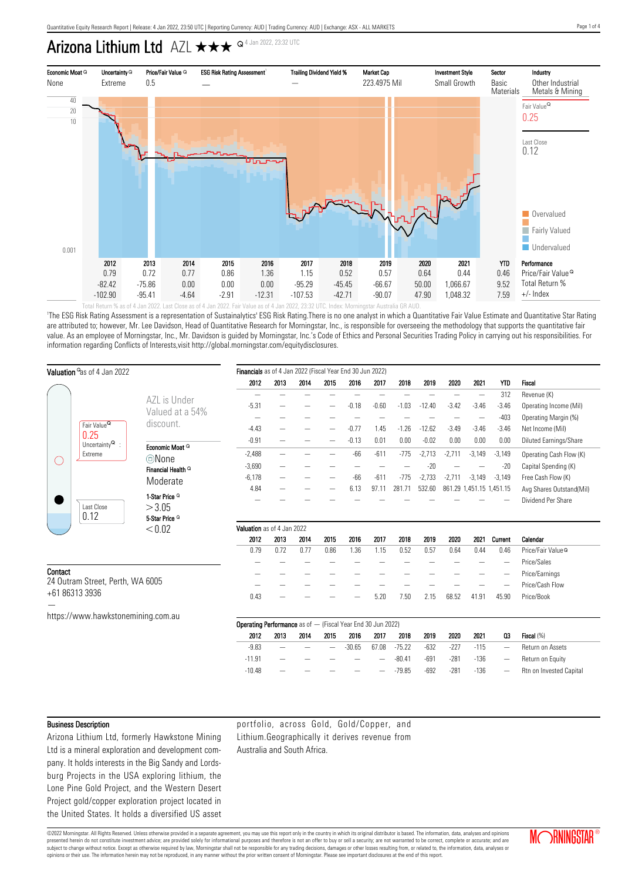# Arizona Lithium Ltd AZL QQQ 4 Jan 2022, 23:32 UTC



'The ESG Risk Rating Assessment is a representation of Sustainalytics' ESG Risk Rating.There is no one analyst in which a Quantitative Fair Value Estimate and Quantitative Star Rating are attributed to; however, Mr. Lee Davidson, Head of Quantitative Research for Morningstar, Inc., is responsible for overseeing the methodology that supports the quantitative fair value. As an employee of Morningstar, Inc., Mr. Davidson is guided by Morningstar, Inc.'s Code of Ethics and Personal Securities Trading Policy in carrying out his responsibilities. For information regarding Conflicts of Interests,visit http://global.morningstar.com/equitydisclosures.

|                                             | Valuation as of 4 Jan 2022                    | Financials as of 4 Jan 2022 (Fiscal Year End 30 Jun 2022) |                                                                    |          |      |      |          |         |          |          |          |                          |                          |                                |
|---------------------------------------------|-----------------------------------------------|-----------------------------------------------------------|--------------------------------------------------------------------|----------|------|------|----------|---------|----------|----------|----------|--------------------------|--------------------------|--------------------------------|
|                                             |                                               |                                                           | 2012                                                               | 2013     | 2014 | 2015 | 2016     | 2017    | 2018     | 2019     | 2020     | 2021                     | YTD                      | <b>Fiscal</b>                  |
|                                             |                                               |                                                           |                                                                    |          |      |      |          |         |          |          |          | $\overline{\phantom{0}}$ | 312                      | Revenue (K)                    |
|                                             |                                               | AZL is Under                                              | $-5.31$                                                            |          |      |      | $-0.18$  | $-0.60$ | $-1.03$  | $-12.40$ | $-3.42$  | $-3.46$                  | $-3.46$                  | Operating Income (Mil)         |
|                                             |                                               | Valued at a 54%                                           |                                                                    |          |      |      |          |         |          |          |          |                          | $-403$                   | Operating Margin (%)           |
|                                             | Fair Value <sup>Q</sup>                       | discount.                                                 | $-4.43$                                                            |          |      |      | $-0.77$  | 1.45    | $-1.26$  | $-12.62$ | $-3.49$  | $-3.46$                  | $-3.46$                  | Net Income (Mil)               |
| О                                           | 0.25<br>Uncertainty <sup>Q</sup> :<br>Extreme |                                                           | $-0.91$                                                            |          |      |      | $-0.13$  | 0.01    | 0.00     | $-0.02$  | 0.00     | 0.00                     | 0.00                     | Diluted Earnings/Share         |
|                                             |                                               | Economic Moat Q                                           | $-2,488$                                                           | $\equiv$ |      | -    | $-66$    | $-611$  | $-775$   | $-2,713$ | $-2,711$ | $-3,149$                 | $-3,149$                 | Operating Cash Flow (K)        |
|                                             |                                               | ©None<br>Financial Health <sup>Q</sup>                    | $-3,690$                                                           |          |      |      |          |         |          | $-20$    |          |                          | $-20$                    | Capital Spending (K)           |
|                                             |                                               |                                                           | $-6,178$                                                           |          |      |      | $-66$    | $-611$  | $-775$   | $-2,733$ | $-2,711$ | $-3,149$                 | $-3,149$                 | Free Cash Flow (K)             |
|                                             |                                               | Moderate                                                  | 4.84                                                               |          |      |      | 6.13     | 97.11   | 281.71   | 532.60   |          |                          | 861.29 1,451.15 1,451.15 | Avg Shares Outstand(Mil)       |
|                                             |                                               | 1-Star Price <sup>Q</sup>                                 |                                                                    |          |      |      |          |         |          |          |          |                          |                          | Dividend Per Share             |
|                                             | Last Close                                    | >3.05                                                     |                                                                    |          |      |      |          |         |          |          |          |                          |                          |                                |
|                                             | 0.12                                          | 5-Star Price <sup>Q</sup>                                 |                                                                    |          |      |      |          |         |          |          |          |                          |                          |                                |
|                                             |                                               | < 0.02                                                    | Valuation as of 4 Jan 2022                                         |          |      |      |          |         |          |          |          |                          |                          |                                |
|                                             |                                               |                                                           | 2012                                                               | 2013     | 2014 | 2015 | 2016     | 2017    | 2018     | 2019     | 2020     | 2021                     | Current                  | Calendar                       |
|                                             |                                               |                                                           | 0.79                                                               | 0.72     | 0.77 | 0.86 | 1.36     | 1.15    | 0.52     | 0.57     | 0.64     | 0.44                     | 0.46                     | Price/Fair Value <sup>Q</sup>  |
|                                             |                                               |                                                           |                                                                    |          |      |      |          |         |          |          |          |                          | $\overline{\phantom{a}}$ | Price/Sales                    |
| Contact<br>24 Outram Street, Perth, WA 6005 |                                               |                                                           |                                                                    |          |      |      |          |         |          |          |          |                          |                          | Price/Earnings                 |
|                                             |                                               |                                                           |                                                                    |          |      |      |          |         |          |          |          |                          |                          | Price/Cash Flow                |
|                                             | +61 86313 3936                                |                                                           | 0.43                                                               |          |      |      |          | 5.20    | 7.50     | 2.15     | 68.52    | 41.91                    | 45.90                    | Price/Book                     |
|                                             | https://www.hawkstonemining.com.au            |                                                           |                                                                    |          |      |      |          |         |          |          |          |                          |                          |                                |
|                                             |                                               |                                                           | <b>Operating Performance</b> as of - (Fiscal Year End 30 Jun 2022) |          |      |      |          |         |          |          |          |                          |                          |                                |
|                                             |                                               |                                                           | 2012                                                               | 2013     | 2014 | 2015 | 2016     | 2017    | 2018     | 2019     | 2020     | 2021                     | 03                       | Fiscal (%)                     |
|                                             |                                               |                                                           | $-9.83$                                                            |          |      |      | $-30.65$ | 67.08   | $-75.22$ | $-632$   | $-227$   | $-115$                   | $\overline{\phantom{a}}$ | Return on Assets               |
|                                             |                                               |                                                           | $-11.91$                                                           |          |      |      |          |         | $-80.41$ | $-691$   | $-281$   | $-136$                   |                          | Return on Equity               |
|                                             |                                               |                                                           | $-10.48$                                                           |          |      |      |          |         | $-79.85$ | $-692$   | $-281$   | $-136$                   |                          | <b>Rtn on Invested Capital</b> |

#### Business Description

Arizona Lithium Ltd, formerly Hawkstone Mining Ltd is a mineral exploration and development company. It holds interests in the Big Sandy and Lordsburg Projects in the USA exploring lithium, the Lone Pine Gold Project, and the Western Desert Project gold/copper exploration project located in the United States. It holds a diversified US asset portfolio, across Gold, Gold/Copper, and Lithium.Geographically it derives revenue from Australia and South Africa.

©2022 Morningstar. All Rights Reserved. Unless otherwise provided in a separate agreement, you may use this report only in the country in which its original distributor is based. The information, data, analyses and opinions presented herein do not constitute investment advice; are provided solely for informational purposes and therefore is not an offer to buy or sell a security; are not warranted to be correct, complete or accurate; and are subject to change without notice. Except as otherwise required by law, Morningstar shall not be responsible for any trading decisions, damages or other losses resulting from, or related to, the information, data, analyses opinions or their use. The information herein may not be reproduced, in any manner without the prior written consent of Morningstar. Please see important disclosures at the end of this report.

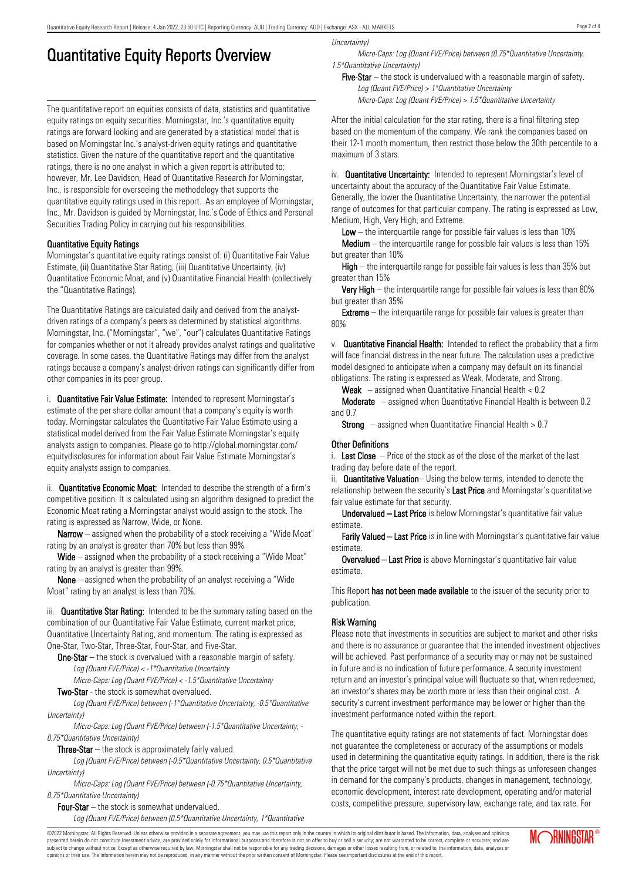## Quantitative Equity Reports Overview

The quantitative report on equities consists of data, statistics and quantitative equity ratings on equity securities. Morningstar, Inc.'s quantitative equity ratings are forward looking and are generated by a statistical model that is based on Morningstar Inc.'s analyst-driven equity ratings and quantitative statistics. Given the nature of the quantitative report and the quantitative ratings, there is no one analyst in which a given report is attributed to; however, Mr. Lee Davidson, Head of Quantitative Research for Morningstar, Inc., is responsible for overseeing the methodology that supports the quantitative equity ratings used in this report. As an employee of Morningstar, Inc., Mr. Davidson is guided by Morningstar, Inc.'s Code of Ethics and Personal Securities Trading Policy in carrying out his responsibilities.

### Quantitative Equity Ratings

Morningstar's quantitative equity ratings consist of: (i) Quantitative Fair Value Estimate, (ii) Quantitative Star Rating, (iii) Quantitative Uncertainty, (iv) Quantitative Economic Moat, and (v) Quantitative Financial Health (collectively the "Quantitative Ratings).

The Quantitative Ratings are calculated daily and derived from the analystdriven ratings of a company's peers as determined by statistical algorithms. Morningstar, Inc. ("Morningstar", "we", "our") calculates Quantitative Ratings for companies whether or not it already provides analyst ratings and qualitative coverage. In some cases, the Quantitative Ratings may differ from the analyst ratings because a company's analyst-driven ratings can significantly differ from other companies in its peer group.

i. **Quantitative Fair Value Estimate:** Intended to represent Morningstar's estimate of the per share dollar amount that a company's equity is worth today. Morningstar calculates the Quantitative Fair Value Estimate using a statistical model derived from the Fair Value Estimate Morningstar's equity analysts assign to companies. Please go to http://global.morningstar.com/ equitydisclosures for information about Fair Value Estimate Morningstar's equity analysts assign to companies.

ii. **Quantitative Economic Moat:** Intended to describe the strength of a firm's competitive position. It is calculated using an algorithm designed to predict the Economic Moat rating a Morningstar analyst would assign to the stock. The rating is expressed as Narrow, Wide, or None.

**Narrow** – assigned when the probability of a stock receiving a "Wide Moat" rating by an analyst is greater than 70% but less than 99%.

Wide – assigned when the probability of a stock receiving a "Wide Moat" rating by an analyst is greater than 99%.

None – assigned when the probability of an analyst receiving a "Wide Moat" rating by an analyst is less than 70%.

iii. **Quantitative Star Rating:** Intended to be the summary rating based on the combination of our Quantitative Fair Value Estimate, current market price, Quantitative Uncertainty Rating, and momentum. The rating is expressed as One-Star, Two-Star, Three-Star, Four-Star, and Five-Star.

**One-Star** – the stock is overvalued with a reasonable margin of safety. Log (Quant FVE/Price) < -1\*Quantitative Uncertainty

Micro-Caps: Log (Quant FVE/Price) < -1.5\*Quantitative Uncertainty

Two-Star - the stock is somewhat overvalued.

Log (Quant FVE/Price) between (-1\*Quantitative Uncertainty, -0.5\*Quantitative Uncertainty)

Micro-Caps: Log (Quant FVE/Price) between (-1.5\*Quantitative Uncertainty, - 0.75\*Quantitative Uncertainty)

**Three-Star**  $-$  the stock is approximately fairly valued.

Log (Quant FVE/Price) between (-0.5\*Quantitative Uncertainty, 0.5\*Quantitative Uncertainty)

Micro-Caps: Log (Quant FVE/Price) between (-0.75\*Quantitative Uncertainty, 0.75\*Quantitative Uncertainty)

Four-Star – the stock is somewhat undervalued.

Log (Quant FVE/Price) between (0.5\*Quantitative Uncertainty, 1\*Quantitative

Uncertainty)

Micro-Caps: Log (Quant FVE/Price) between (0.75\*Quantitative Uncertainty, 1.5\*Quantitative Uncertainty)

Five-Star  $-$  the stock is undervalued with a reasonable margin of safety. Log (Quant FVE/Price) > 1\*Quantitative Uncertainty Micro-Caps: Log (Quant FVE/Price) > 1.5\*Quantitative Uncertainty

After the initial calculation for the star rating, there is a final filtering step based on the momentum of the company. We rank the companies based on their 12-1 month momentum, then restrict those below the 30th percentile to a maximum of 3 stars.

iv. **Quantitative Uncertainty:** Intended to represent Morningstar's level of uncertainty about the accuracy of the Quantitative Fair Value Estimate. Generally, the lower the Quantitative Uncertainty, the narrower the potential range of outcomes for that particular company. The rating is expressed as Low, Medium, High, Very High, and Extreme.

**Low** – the interguartile range for possible fair values is less than  $10\%$ 

**Medium** – the interquartile range for possible fair values is less than  $15\%$ but greater than 10%

High – the interquartile range for possible fair values is less than 35% but greater than 15%

Very High – the interquartile range for possible fair values is less than 80% but greater than 35%

**Extreme** – the interquartile range for possible fair values is greater than 80%

v. Quantitative Financial Health: Intended to reflect the probability that a firm will face financial distress in the near future. The calculation uses a predictive model designed to anticipate when a company may default on its financial obligations. The rating is expressed as Weak, Moderate, and Strong.

**Weak**  $-$  assigned when Quantitative Financial Health  $< 0.2$ 

Moderate – assigned when Quantitative Financial Health is between 0.2 and 0.7

**Strong** – assigned when Quantitative Financial Health  $> 0.7$ 

#### Other Definitions

i. Last Close  $-$  Price of the stock as of the close of the market of the last trading day before date of the report.

ii. **Quantitative Valuation**– Using the below terms, intended to denote the relationship between the security's Last Price and Morningstar's quantitative fair value estimate for that security.

Undervalued – Last Price is below Morningstar's quantitative fair value estimate.

Farily Valued – Last Price is in line with Morningstar's quantitative fair value estimate.

Overvalued – Last Price is above Morningstar's quantitative fair value estimate.

This Report has not been made available to the issuer of the security prior to publication.

### Risk Warning

Please note that investments in securities are subject to market and other risks and there is no assurance or guarantee that the intended investment objectives will be achieved. Past performance of a security may or may not be sustained in future and is no indication of future performance. A security investment return and an investor's principal value will fluctuate so that, when redeemed, an investor's shares may be worth more or less than their original cost. A security's current investment performance may be lower or higher than the investment performance noted within the report.

The quantitative equity ratings are not statements of fact. Morningstar does not guarantee the completeness or accuracy of the assumptions or models used in determining the quantitative equity ratings. In addition, there is the risk that the price target will not be met due to such things as unforeseen changes in demand for the company's products, changes in management, technology, economic development, interest rate development, operating and/or material costs, competitive pressure, supervisory law, exchange rate, and tax rate. For

©2022 Morningstar. All Rights Reserved. Unless otherwise provided in a separate agreement, you may use this report only in the country in which its original distributor is based. The information, data, analyses and opinions presented herein do not constitute investment advice; are provided solely for informational purposes and therefore is not an offer to buy or sell a security; are not warranted to be correct, complete or accurate; and are subject to change without notice. Except as otherwise required by law, Morningstar shall not be responsible for any trading decisions, damages or other losses resulting from, or related to, the information, data, analyses or opinions or their use. The information herein may not be reproduced, in any manner without the prior written consent of Morningstar. Please see important disclosures at the end of this report.

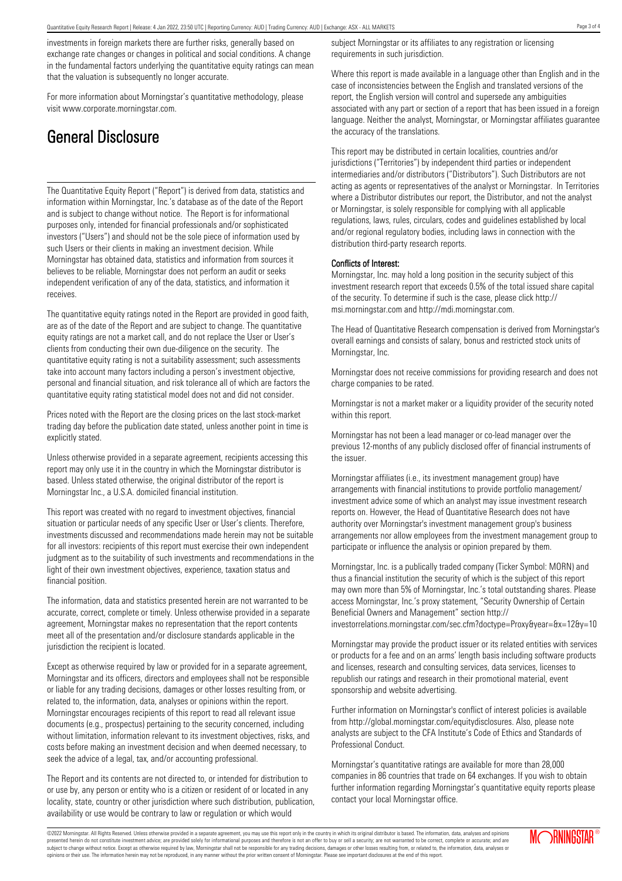investments in foreign markets there are further risks, generally based on exchange rate changes or changes in political and social conditions. A change in the fundamental factors underlying the quantitative equity ratings can mean that the valuation is subsequently no longer accurate.

For more information about Morningstar's quantitative methodology, please visit www.corporate.morningstar.com.

## General Disclosure

The Quantitative Equity Report ("Report") is derived from data, statistics and information within Morningstar, Inc.'s database as of the date of the Report and is subject to change without notice. The Report is for informational purposes only, intended for financial professionals and/or sophisticated investors ("Users") and should not be the sole piece of information used by such Users or their clients in making an investment decision. While Morningstar has obtained data, statistics and information from sources it believes to be reliable, Morningstar does not perform an audit or seeks independent verification of any of the data, statistics, and information it receives.

The quantitative equity ratings noted in the Report are provided in good faith, are as of the date of the Report and are subject to change. The quantitative equity ratings are not a market call, and do not replace the User or User's clients from conducting their own due-diligence on the security. The quantitative equity rating is not a suitability assessment; such assessments take into account many factors including a person's investment objective, personal and financial situation, and risk tolerance all of which are factors the quantitative equity rating statistical model does not and did not consider.

Prices noted with the Report are the closing prices on the last stock-market trading day before the publication date stated, unless another point in time is explicitly stated.

Unless otherwise provided in a separate agreement, recipients accessing this report may only use it in the country in which the Morningstar distributor is based. Unless stated otherwise, the original distributor of the report is Morningstar Inc., a U.S.A. domiciled financial institution.

This report was created with no regard to investment objectives, financial situation or particular needs of any specific User or User's clients. Therefore, investments discussed and recommendations made herein may not be suitable for all investors: recipients of this report must exercise their own independent judgment as to the suitability of such investments and recommendations in the light of their own investment objectives, experience, taxation status and financial position.

The information, data and statistics presented herein are not warranted to be accurate, correct, complete or timely. Unless otherwise provided in a separate agreement, Morningstar makes no representation that the report contents meet all of the presentation and/or disclosure standards applicable in the jurisdiction the recipient is located.

Except as otherwise required by law or provided for in a separate agreement, Morningstar and its officers, directors and employees shall not be responsible or liable for any trading decisions, damages or other losses resulting from, or related to, the information, data, analyses or opinions within the report. Morningstar encourages recipients of this report to read all relevant issue documents (e.g., prospectus) pertaining to the security concerned, including without limitation, information relevant to its investment objectives, risks, and costs before making an investment decision and when deemed necessary, to seek the advice of a legal, tax, and/or accounting professional.

The Report and its contents are not directed to, or intended for distribution to or use by, any person or entity who is a citizen or resident of or located in any locality, state, country or other jurisdiction where such distribution, publication, availability or use would be contrary to law or regulation or which would

subject Morningstar or its affiliates to any registration or licensing requirements in such jurisdiction.

Where this report is made available in a language other than English and in the case of inconsistencies between the English and translated versions of the report, the English version will control and supersede any ambiguities associated with any part or section of a report that has been issued in a foreign language. Neither the analyst, Morningstar, or Morningstar affiliates guarantee the accuracy of the translations.

This report may be distributed in certain localities, countries and/or jurisdictions ("Territories") by independent third parties or independent intermediaries and/or distributors ("Distributors"). Such Distributors are not acting as agents or representatives of the analyst or Morningstar. In Territories where a Distributor distributes our report, the Distributor, and not the analyst or Morningstar, is solely responsible for complying with all applicable regulations, laws, rules, circulars, codes and guidelines established by local and/or regional regulatory bodies, including laws in connection with the distribution third-party research reports.

#### Conflicts of Interest:

Morningstar, Inc. may hold a long position in the security subject of this investment research report that exceeds 0.5% of the total issued share capital of the security. To determine if such is the case, please click http:// msi.morningstar.com and http://mdi.morningstar.com.

The Head of Quantitative Research compensation is derived from Morningstar's overall earnings and consists of salary, bonus and restricted stock units of Morningstar, Inc.

Morningstar does not receive commissions for providing research and does not charge companies to be rated.

Morningstar is not a market maker or a liquidity provider of the security noted within this report.

Morningstar has not been a lead manager or co-lead manager over the previous 12-months of any publicly disclosed offer of financial instruments of the issuer.

Morningstar affiliates (i.e., its investment management group) have arrangements with financial institutions to provide portfolio management/ investment advice some of which an analyst may issue investment research reports on. However, the Head of Quantitative Research does not have authority over Morningstar's investment management group's business arrangements nor allow employees from the investment management group to participate or influence the analysis or opinion prepared by them.

Morningstar, Inc. is a publically traded company (Ticker Symbol: MORN) and thus a financial institution the security of which is the subject of this report may own more than 5% of Morningstar, Inc.'s total outstanding shares. Please access Morningstar, Inc.'s proxy statement, "Security Ownership of Certain Beneficial Owners and Management" section http://

investorrelations.morningstar.com/sec.cfm?doctype=Proxy&year=&x=12&y=10

Morningstar may provide the product issuer or its related entities with services or products for a fee and on an arms' length basis including software products and licenses, research and consulting services, data services, licenses to republish our ratings and research in their promotional material, event sponsorship and website advertising.

Further information on Morningstar's conflict of interest policies is available from http://global.morningstar.com/equitydisclosures. Also, please note analysts are subject to the CFA Institute's Code of Ethics and Standards of Professional Conduct.

Morningstar's quantitative ratings are available for more than 28,000 companies in 86 countries that trade on 64 exchanges. If you wish to obtain further information regarding Morningstar's quantitative equity reports please contact your local Morningstar office.

©2022 Morningstar. All Rights Reserved. Unless otherwise provided in a separate agreement, you may use this report only in the country in which its original distributor is based. The information, data, analyses and opinions presented herein do not constitute investment advice; are provided solely for informational purposes and therefore is not an offer to buy or sell a security; are not warranted to be correct, complete or accurate; and are subject to change without notice. Except as otherwise required by law, Morningstar shall not be responsible for any trading decisions, damages or other losses resulting from, or related to, the information, data, analyses or opinions or their use. The information herein may not be reproduced, in any manner without the prior written consent of Morningstar. Please see important disclosures at the end of this report.